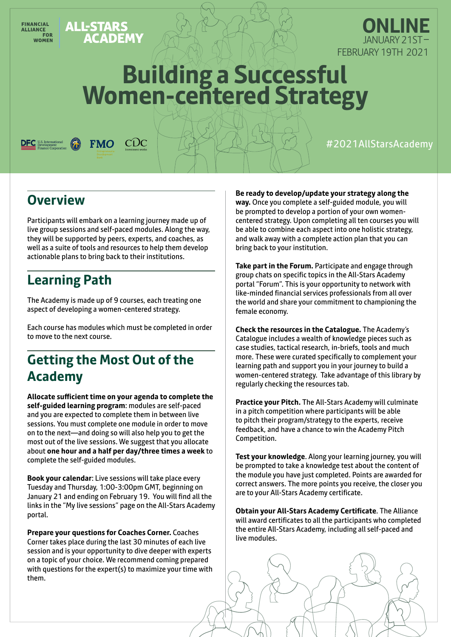ALL-STARS<br>ACADEMY

**FMO** 

 $CDC$ 



# **Building a Successful Women-centered Strategy**

#2021AllStarsAcademy

## **Overview**

FINANCIAL<br>ALLIANCE<br>FOR **FINANCIAL** 

**WOMEN** 

Participants will embark on a learning journey made up of live group sessions and self-paced modules. Along the way, they will be supported by peers, experts, and coaches, as well as a suite of tools and resources to help them develop actionable plans to bring back to their institutions.

## **Learning Path**

The Academy is made up of 9 courses, each treating one aspect of developing a women-centered strategy.

Each course has modules which must be completed in order to move to the next course.

## **Getting the Most Out of the Academy**

**Allocate sufficient time on your agenda to complete the self-guided learning program**: modules are self-paced and you are expected to complete them in between live sessions. You must complete one module in order to move on to the next—and doing so will also help you to get the most out of the live sessions. We suggest that you allocate about **one hour and a half per day/three times a week** to complete the self-guided modules.

**Book your calendar**: Live sessions will take place every Tuesday and Thursday, 1:00-3:00pm GMT, beginning on January 21 and ending on February 19. You will find all the links in the "My live sessions" page on the All-Stars Academy portal.

**Prepare your questions for Coaches Corner.** Coaches Corner takes place during the last 30 minutes of each live session and is your opportunity to dive deeper with experts on a topic of your choice. We recommend coming prepared with questions for the expert(s) to maximize your time with them.

**Be ready to develop/update your strategy along the way.** Once you complete a self-guided module, you will

be prompted to develop a portion of your own womencentered strategy. Upon completing all ten courses you will be able to combine each aspect into one holistic strategy, and walk away with a complete action plan that you can bring back to your institution.

**Take part in the Forum.** Participate and engage through group chats on specific topics in the All-Stars Academy portal "Forum". This is your opportunity to network with like-minded financial services professionals from all over the world and share your commitment to championing the female economy.

**Check the resources in the Catalogue.** The Academy's Catalogue includes a wealth of knowledge pieces such as case studies, tactical research, in-briefs, tools and much more. These were curated specifically to complement your learning path and support you in your journey to build a women-centered strategy. Take advantage of this library by regularly checking the resources tab.

**Practice your Pitch.** The All-Stars Academy will culminate in a pitch competition where participants will be able to pitch their program/strategy to the experts, receive feedback, and have a chance to win the Academy Pitch Competition.

**Test your knowledge**. Along your learning journey, you will be prompted to take a knowledge test about the content of the module you have just completed. Points are awarded for correct answers. The more points you receive, the closer you are to your All-Stars Academy certificate.

**Obtain your All-Stars Academy Certificate**. The Alliance will award certificates to all the participants who completed the entire All-Stars Academy, including all self-paced and live modules.

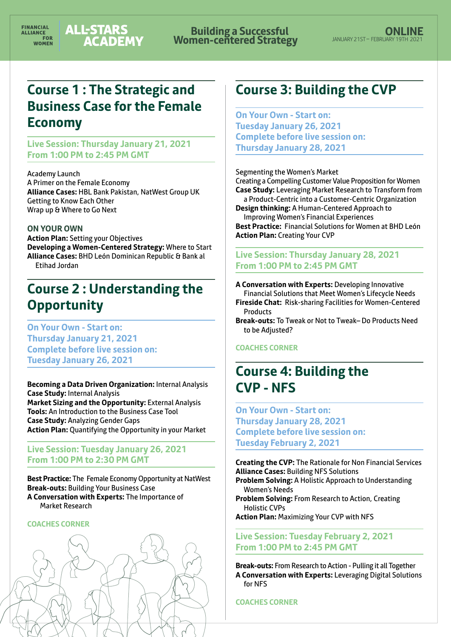**Building a Successful Women-centered Strategy**

## **Course 1 : The Strategic and Business Case for the Female Economy**

**Live Session: Thursday January 21, 2021 From 1:00 PM to 2:45 PM GMT**

Academy Launch A Primer on the Female Economy **Alliance Cases:** HBL Bank Pakistan, NatWest Group UK Getting to Know Each Other Wrap up & Where to Go Next

#### **ON YOUR OWN**

**Action Plan:** Setting your Objectives **Developing a Women-Centered Strategy:** Where to Start **Alliance Cases:** BHD León Dominican Republic & Bank al Etihad Jordan

## **Course 2 : Understanding the Opportunity**

**On Your Own - Start on: Thursday January 21, 2021 Complete before live session on: Tuesday January 26, 2021**

**Becoming a Data Driven Organization:** Internal Analysis **Case Study:** Internal Analysis **Market Sizing and the Opportunity:** External Analysis **Tools:** An Introduction to the Business Case Tool **Case Study:** Analyzing Gender Gaps **Action Plan:** Quantifying the Opportunity in your Market

#### **Live Session: Tuesday January 26, 2021 From 1:00 PM to 2:30 PM GMT**

**Best Practice:** The Female Economy Opportunity at NatWest **Break-outs:** Building Your Business Case **A Conversation with Experts:** The Importance of Market Research

#### **COACHES CORNER**



## **Course 3: Building the CVP**

**On Your Own - Start on: Tuesday January 26, 2021 Complete before live session on: Thursday January 28, 2021**

Segmenting the Women's Market

Creating a Compelling Customer Value Proposition for Women **Case Study:** Leveraging Market Research to Transform from a Product-Centric into a Customer-Centric Organization **Design thinking:** A Human-Centered Approach to

Improving Women's Financial Experiences

**Best Practice:** Financial Solutions for Women at BHD León **Action Plan:** Creating Your CVP

#### **Live Session: Thursday January 28, 2021 From 1:00 PM to 2:45 PM GMT**

**A Conversation with Experts:** Developing Innovative Financial Solutions that Meet Women's Lifecycle Needs **Fireside Chat:** Risk-sharing Facilities for Women-Centered Products

**Break-outs:** To Tweak or Not to Tweak– Do Products Need to be Adjusted?

#### **COACHES CORNER**

## **Course 4: Building the CVP - NFS**

**On Your Own - Start on: Thursday January 28, 2021 Complete before live session on: Tuesday February 2, 2021**

**Creating the CVP:** The Rationale for Non Financial Services **Alliance Cases:** Building NFS Solutions

**Problem Solving:** A Holistic Approach to Understanding Women's Needs

**Problem Solving:** From Research to Action, Creating Holistic CVPs

**Action Plan:** Maximizing Your CVP with NFS

**Live Session: Tuesday February 2, 2021 From 1:00 PM to 2:45 PM GMT**

**Break-outs:** From Research to Action - Pulling it all Together **A Conversation with Experts:** Leveraging Digital Solutions for NFS

**COACHES CORNER**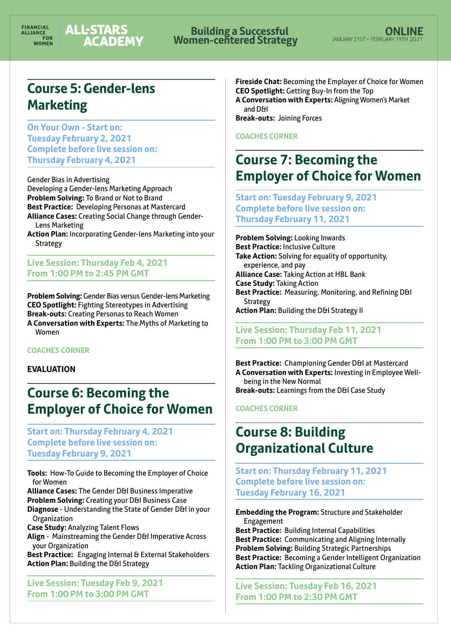# **Building a Successful Women-centered Strategy**

## **Course 5: Gender-lens Marketing**

**On Your Own - Start on: Tuesday February 2, 2021 Complete before live session on: Thursday February 4, 2021**

Gender Bias in Advertising Developing a Gender-lens Marketing Approach **Problem Solving:** To Brand or Not to Brand **Best Practice:** Developing Personas at Mastercard **Alliance Cases:** Creating Social Change through Gender-Lens Marketing

**Action Plan:** Incorporating Gender-lens Marketing into your Strategy

**Live Session: Thursday Feb 4, 2021 From 1:00 PM to 2:45 PM GMT**

**Problem Solving:** Gender Bias versus Gender-lens Marketing **CEO Spotlight:** Fighting Stereotypes in Advertising **Break-outs:** Creating Personas to Reach Women

**A Conversation with Experts:** The Myths of Marketing to Women

#### **COACHES CORNER**

#### **EVALUATION**

## **Course 6: Becoming the Employer of Choice for Women**

**Start on: Thursday February 4, 2021 Complete before live session on: Tuesday February 9, 2021**

**Tools:** How-To Guide to Becoming the Employer of Choice for Women

**Alliance Cases:** The Gender D&I Business Imperative **Problem Solving:** Creating your D&I Business Case

**Diagnose** - Understanding the State of Gender D&I in your **Organization** 

**Case Study:** Analyzing Talent Flows

Align - Mainstreaming the Gender D&I Imperative Across your Organization

**Best Practice:** Engaging Internal & External Stakeholders **Action Plan: Building the D&I Strategy** 

**Live Session: Tuesday Feb 9, 2021 From 1:00 PM to 3:00 PM GMT**

**Fireside Chat:** Becoming the Employer of Choice for Women **CEO Spotlight:** Getting Buy-In from the Top **A Conversation with Experts:** Aligning Women's Market and D&I

**Break-outs:** Joining Forces

#### **COACHES CORNER**

## **Course 7: Becoming the Employer of Choice for Women**

**Start on: Tuesday February 9, 2021 Complete before live session on: Thursday February 11, 2021**

**Problem Solving:** Looking Inwards **Best Practice:** Inclusive Culture **Take Action:** Solving for equality of opportunity, experience, and pay **Alliance Case:** Taking Action at HBL Bank **Case Study:** Taking Action **Best Practice:** Measuring, Monitoring, and Refining D&I **Strategy Action Plan: Building the D&I Strategy II** 

**Live Session: Thursday Feb 11, 2021 From 1:00 PM to 3:00 PM GMT**

Best Practice: Championing Gender D&I at Mastercard **A Conversation with Experts:** Investing in Employee Wellbeing in the New Normal **Break-outs:** Learnings from the D&I Case Study

**COACHES CORNER**

## **Course 8: Building Organizational Culture**

**Start on: Thursday February 11, 2021 Complete before live session on: Tuesday February 16, 2021** 

**Embedding the Program:** Structure and Stakeholder Engagement

**Best Practice:** Building Internal Capabilities **Best Practice:** Communicating and Aligning Internally **Problem Solving:** Building Strategic Partnerships **Best Practice:** Becoming a Gender Intelligent Organization **Action Plan:** Tackling Organizational Culture

**Live Session: Tuesday Feb 16, 2021 From 1:00 PM to 2:30 PM GMT**